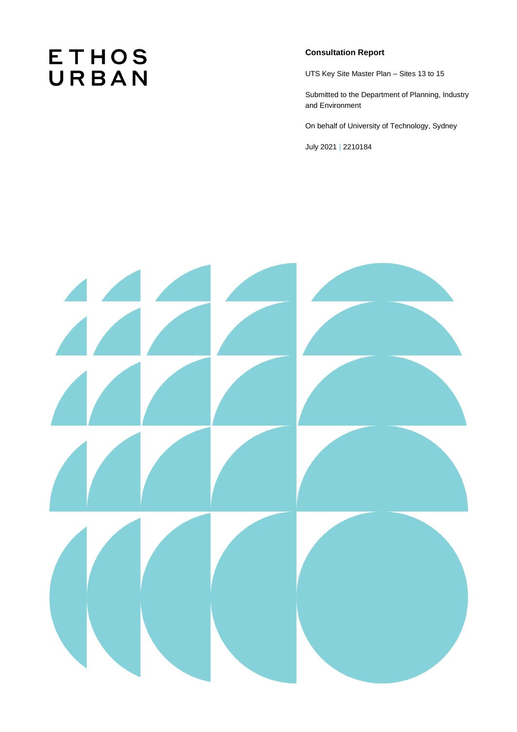# **ETHOS** URBAN

## **Consultation Report**

UTS Key Site Master Plan – Sites 13 to 15

Submitted to the Department of Planning, Industry and Environment

On behalf of University of Technology, Sydney

July 2021 **|** 2210184

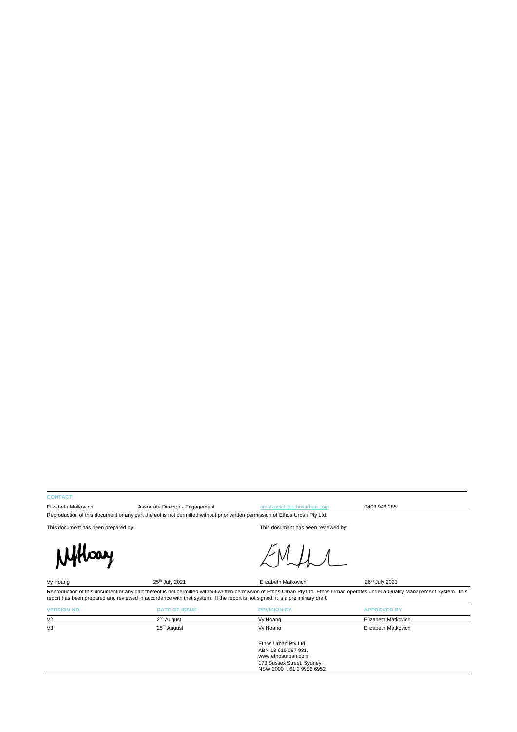#### **CONTACT**

Elizabeth Matkovich **Associate Director - Engagement Engagement [ematkovich@ethosurban.com](mailto:ematkovich@ethosurban.com)** 0403 946 285 Reproduction of this document or any part thereof is not permitted without prior written permission of Ethos Urban Pty Ltd.

This document has been prepared by: This document has been reviewed by:



Vy Hoang 26<sup>th</sup> July 2021 Elizabeth Matkovich 26<sup>th</sup> July 2021 Reproduction of this document or any part thereof is not permitted without written permission of Ethos Urban Pty Ltd. Ethos Urban operates under a Quality Management System. This<br>report has been prepared and reviewed in ac

| <b>VERSION NO.</b> | <b>DATE OF ISSUE</b>    | <b>REVISION BY</b>                                     | <b>APPROVED BY</b>  |  |
|--------------------|-------------------------|--------------------------------------------------------|---------------------|--|
| V <sub>2</sub>     | 2 <sup>nd</sup> August  | Vy Hoang                                               | Elizabeth Matkovich |  |
| V <sub>3</sub>     | 25 <sup>th</sup> August | Vy Hoang                                               | Elizabeth Matkovich |  |
|                    |                         | Ethos Urban Pty Ltd                                    |                     |  |
|                    |                         | ABN 13 615 087 931.<br>www.ethosurban.com              |                     |  |
|                    |                         | 173 Sussex Street, Sydney<br>NSW 2000 t 61 2 9956 6952 |                     |  |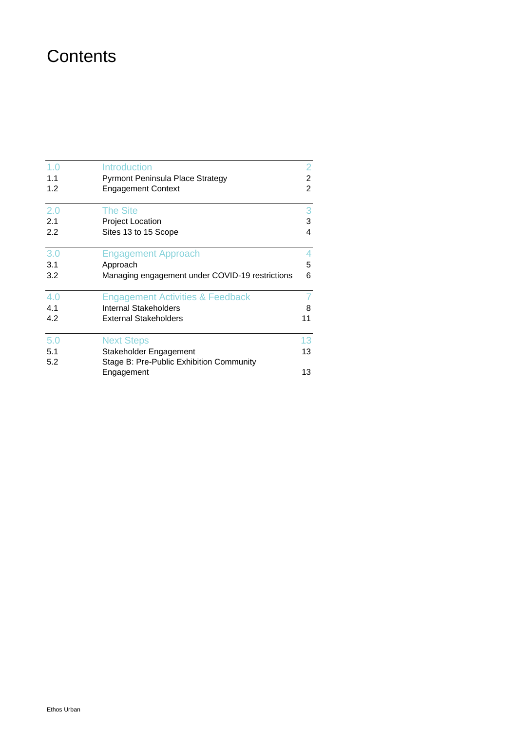## **Contents**

| 1.0 | <b>Introduction</b>                             | $\overline{2}$ |
|-----|-------------------------------------------------|----------------|
| 1.1 | Pyrmont Peninsula Place Strategy                | $\overline{c}$ |
| 1.2 | <b>Engagement Context</b>                       | $\overline{2}$ |
| 2.0 | <b>The Site</b>                                 | 3              |
| 2.1 | Project Location                                | 3              |
| 2.2 | Sites 13 to 15 Scope                            | 4              |
| 3.0 | <b>Engagement Approach</b>                      | 4              |
| 3.1 | Approach                                        | 5              |
| 3.2 | Managing engagement under COVID-19 restrictions | 6              |
| 4.0 | <b>Engagement Activities &amp; Feedback</b>     |                |
| 4.1 | Internal Stakeholders                           | 8              |
| 4.2 | <b>External Stakeholders</b>                    | 11             |
| 5.0 | <b>Next Steps</b>                               | 13             |
| 5.1 | Stakeholder Engagement                          | 13             |
| 5.2 | Stage B: Pre-Public Exhibition Community        |                |
|     | Engagement                                      | 13             |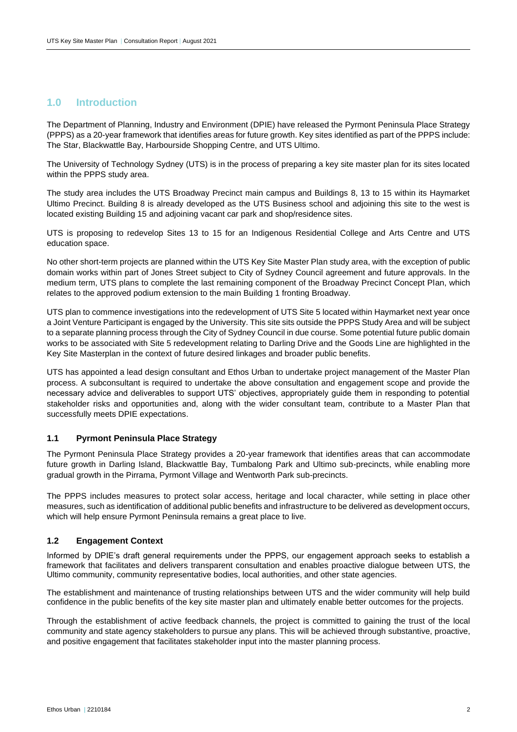## <span id="page-3-0"></span>**1.0 Introduction**

The Department of Planning, Industry and Environment (DPIE) have released the Pyrmont Peninsula Place Strategy (PPPS) as a 20-year framework that identifies areas for future growth. Key sites identified as part of the PPPS include: The Star, Blackwattle Bay, Harbourside Shopping Centre, and UTS Ultimo.

The University of Technology Sydney (UTS) is in the process of preparing a key site master plan for its sites located within the PPPS study area.

The study area includes the UTS Broadway Precinct main campus and Buildings 8, 13 to 15 within its Haymarket Ultimo Precinct. Building 8 is already developed as the UTS Business school and adjoining this site to the west is located existing Building 15 and adjoining vacant car park and shop/residence sites.

UTS is proposing to redevelop Sites 13 to 15 for an Indigenous Residential College and Arts Centre and UTS education space.

No other short-term projects are planned within the UTS Key Site Master Plan study area, with the exception of public domain works within part of Jones Street subject to City of Sydney Council agreement and future approvals. In the medium term, UTS plans to complete the last remaining component of the Broadway Precinct Concept Plan, which relates to the approved podium extension to the main Building 1 fronting Broadway.

UTS plan to commence investigations into the redevelopment of UTS Site 5 located within Haymarket next year once a Joint Venture Participant is engaged by the University. This site sits outside the PPPS Study Area and will be subject to a separate planning process through the City of Sydney Council in due course. Some potential future public domain works to be associated with Site 5 redevelopment relating to Darling Drive and the Goods Line are highlighted in the Key Site Masterplan in the context of future desired linkages and broader public benefits.

UTS has appointed a lead design consultant and Ethos Urban to undertake project management of the Master Plan process. A subconsultant is required to undertake the above consultation and engagement scope and provide the necessary advice and deliverables to support UTS' objectives, appropriately guide them in responding to potential stakeholder risks and opportunities and, along with the wider consultant team, contribute to a Master Plan that successfully meets DPIE expectations.

#### <span id="page-3-1"></span>**1.1 Pyrmont Peninsula Place Strategy**

The Pyrmont Peninsula Place Strategy provides a 20-year framework that identifies areas that can accommodate future growth in Darling Island, Blackwattle Bay, Tumbalong Park and Ultimo sub-precincts, while enabling more gradual growth in the Pirrama, Pyrmont Village and Wentworth Park sub-precincts.

The PPPS includes measures to protect solar access, heritage and local character, while setting in place other measures, such as identification of additional public benefits and infrastructure to be delivered as development occurs, which will help ensure Pyrmont Peninsula remains a great place to live.

#### <span id="page-3-2"></span>**1.2 Engagement Context**

Informed by DPIE's draft general requirements under the PPPS, our engagement approach seeks to establish a framework that facilitates and delivers transparent consultation and enables proactive dialogue between UTS, the Ultimo community, community representative bodies, local authorities, and other state agencies.

The establishment and maintenance of trusting relationships between UTS and the wider community will help build confidence in the public benefits of the key site master plan and ultimately enable better outcomes for the projects.

Through the establishment of active feedback channels, the project is committed to gaining the trust of the local community and state agency stakeholders to pursue any plans. This will be achieved through substantive, proactive, and positive engagement that facilitates stakeholder input into the master planning process.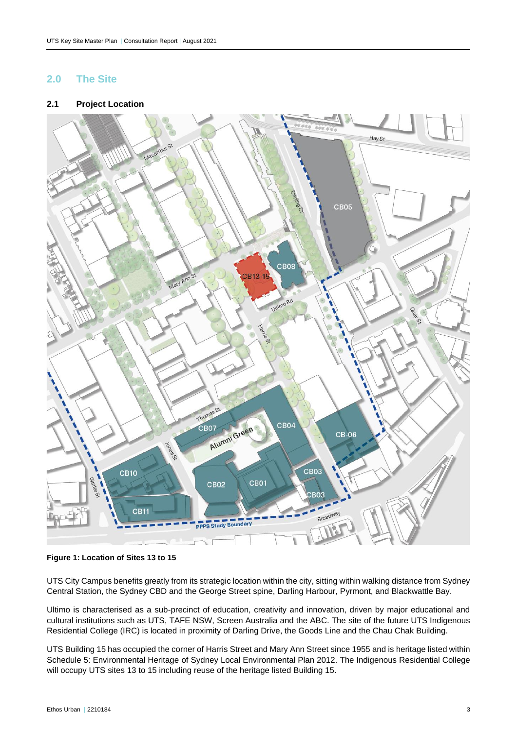## <span id="page-4-0"></span>**2.0 The Site**

#### <span id="page-4-1"></span>**2.1 Project Location**



**Figure 1: Location of Sites 13 to 15** 

UTS City Campus benefits greatly from its strategic location within the city, sitting within walking distance from Sydney Central Station, the Sydney CBD and the George Street spine, Darling Harbour, Pyrmont, and Blackwattle Bay.

Ultimo is characterised as a sub-precinct of education, creativity and innovation, driven by major educational and cultural institutions such as UTS, TAFE NSW, Screen Australia and the ABC. The site of the future UTS Indigenous Residential College (IRC) is located in proximity of Darling Drive, the Goods Line and the Chau Chak Building.

UTS Building 15 has occupied the corner of Harris Street and Mary Ann Street since 1955 and is heritage listed within Schedule 5: Environmental Heritage of Sydney Local Environmental Plan 2012. The Indigenous Residential College will occupy UTS sites 13 to 15 including reuse of the heritage listed Building 15.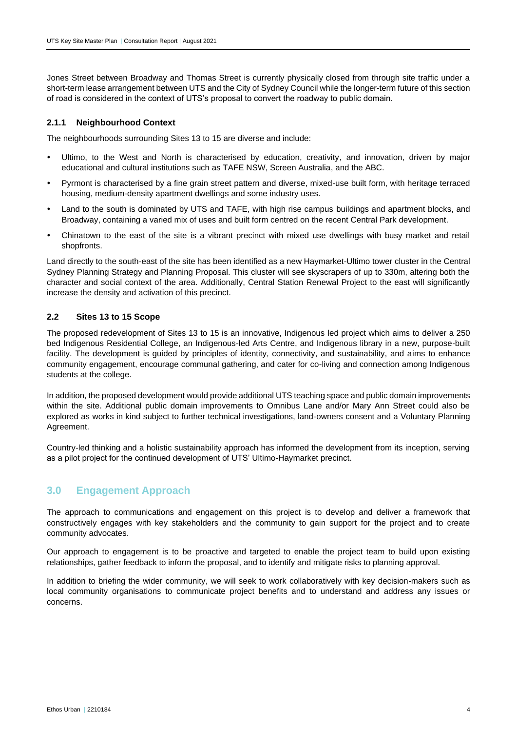Jones Street between Broadway and Thomas Street is currently physically closed from through site traffic under a short-term lease arrangement between UTS and the City of Sydney Council while the longer-term future of this section of road is considered in the context of UTS's proposal to convert the roadway to public domain.

#### **2.1.1 Neighbourhood Context**

The neighbourhoods surrounding Sites 13 to 15 are diverse and include:

- Ultimo, to the West and North is characterised by education, creativity, and innovation, driven by major educational and cultural institutions such as TAFE NSW, Screen Australia, and the ABC.
- Pyrmont is characterised by a fine grain street pattern and diverse, mixed-use built form, with heritage terraced housing, medium-density apartment dwellings and some industry uses.
- Land to the south is dominated by UTS and TAFE, with high rise campus buildings and apartment blocks, and Broadway, containing a varied mix of uses and built form centred on the recent Central Park development.
- Chinatown to the east of the site is a vibrant precinct with mixed use dwellings with busy market and retail shopfronts.

Land directly to the south-east of the site has been identified as a new Haymarket-Ultimo tower cluster in the Central Sydney Planning Strategy and Planning Proposal. This cluster will see skyscrapers of up to 330m, altering both the character and social context of the area. Additionally, Central Station Renewal Project to the east will significantly increase the density and activation of this precinct.

#### <span id="page-5-0"></span>**2.2 Sites 13 to 15 Scope**

The proposed redevelopment of Sites 13 to 15 is an innovative, Indigenous led project which aims to deliver a 250 bed Indigenous Residential College, an Indigenous-led Arts Centre, and Indigenous library in a new, purpose-built facility. The development is guided by principles of identity, connectivity, and sustainability, and aims to enhance community engagement, encourage communal gathering, and cater for co-living and connection among Indigenous students at the college.

In addition, the proposed development would provide additional UTS teaching space and public domain improvements within the site. Additional public domain improvements to Omnibus Lane and/or Mary Ann Street could also be explored as works in kind subject to further technical investigations, land-owners consent and a Voluntary Planning Agreement.

Country-led thinking and a holistic sustainability approach has informed the development from its inception, serving as a pilot project for the continued development of UTS' Ultimo-Haymarket precinct.

## <span id="page-5-1"></span>**3.0 Engagement Approach**

The approach to communications and engagement on this project is to develop and deliver a framework that constructively engages with key stakeholders and the community to gain support for the project and to create community advocates.

Our approach to engagement is to be proactive and targeted to enable the project team to build upon existing relationships, gather feedback to inform the proposal, and to identify and mitigate risks to planning approval.

<span id="page-5-2"></span>In addition to briefing the wider community, we will seek to work collaboratively with key decision-makers such as local community organisations to communicate project benefits and to understand and address any issues or concerns.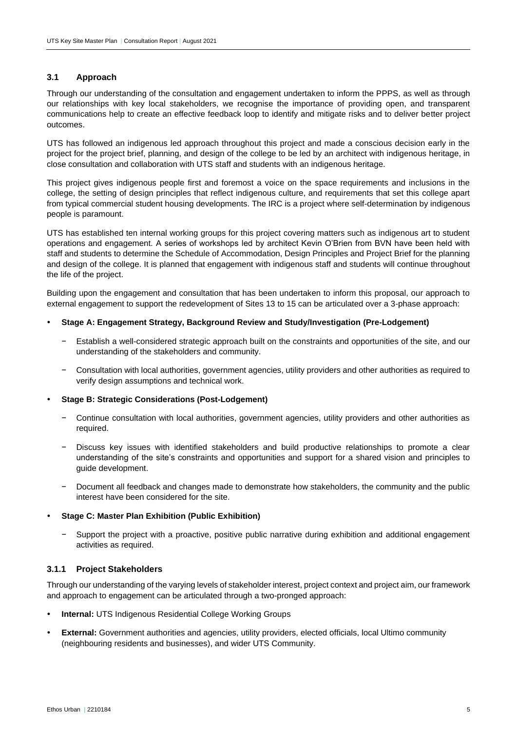#### **3.1 Approach**

Through our understanding of the consultation and engagement undertaken to inform the PPPS, as well as through our relationships with key local stakeholders, we recognise the importance of providing open, and transparent communications help to create an effective feedback loop to identify and mitigate risks and to deliver better project outcomes.

UTS has followed an indigenous led approach throughout this project and made a conscious decision early in the project for the project brief, planning, and design of the college to be led by an architect with indigenous heritage, in close consultation and collaboration with UTS staff and students with an indigenous heritage.

This project gives indigenous people first and foremost a voice on the space requirements and inclusions in the college, the setting of design principles that reflect indigenous culture, and requirements that set this college apart from typical commercial student housing developments. The IRC is a project where self-determination by indigenous people is paramount.

UTS has established ten internal working groups for this project covering matters such as indigenous art to student operations and engagement. A series of workshops led by architect Kevin O'Brien from BVN have been held with staff and students to determine the Schedule of Accommodation, Design Principles and Project Brief for the planning and design of the college. It is planned that engagement with indigenous staff and students will continue throughout the life of the project.

Building upon the engagement and consultation that has been undertaken to inform this proposal, our approach to external engagement to support the redevelopment of Sites 13 to 15 can be articulated over a 3-phase approach:

- **Stage A: Engagement Strategy, Background Review and Study/Investigation (Pre-Lodgement)**
	- − Establish a well-considered strategic approach built on the constraints and opportunities of the site, and our understanding of the stakeholders and community.
	- − Consultation with local authorities, government agencies, utility providers and other authorities as required to verify design assumptions and technical work.

#### **Stage B: Strategic Considerations (Post-Lodgement)**

- − Continue consultation with local authorities, government agencies, utility providers and other authorities as required.
- − Discuss key issues with identified stakeholders and build productive relationships to promote a clear understanding of the site's constraints and opportunities and support for a shared vision and principles to guide development.
- − Document all feedback and changes made to demonstrate how stakeholders, the community and the public interest have been considered for the site.

#### **Stage C: Master Plan Exhibition (Public Exhibition)**

Support the project with a proactive, positive public narrative during exhibition and additional engagement activities as required.

#### **3.1.1 Project Stakeholders**

Through our understanding of the varying levels of stakeholder interest, project context and project aim, our framework and approach to engagement can be articulated through a two-pronged approach:

- **Internal:** UTS Indigenous Residential College Working Groups
- **External:** Government authorities and agencies, utility providers, elected officials, local Ultimo community (neighbouring residents and businesses), and wider UTS Community.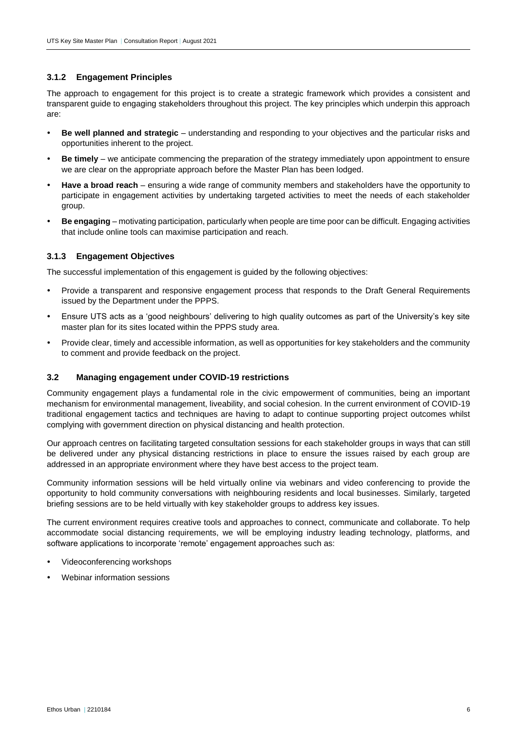#### **3.1.2 Engagement Principles**

The approach to engagement for this project is to create a strategic framework which provides a consistent and transparent guide to engaging stakeholders throughout this project. The key principles which underpin this approach are:

- **Be well planned and strategic**  understanding and responding to your objectives and the particular risks and opportunities inherent to the project.
- **Be timely**  we anticipate commencing the preparation of the strategy immediately upon appointment to ensure we are clear on the appropriate approach before the Master Plan has been lodged.
- **Have a broad reach**  ensuring a wide range of community members and stakeholders have the opportunity to participate in engagement activities by undertaking targeted activities to meet the needs of each stakeholder group.
- **Be engaging**  motivating participation, particularly when people are time poor can be difficult. Engaging activities that include online tools can maximise participation and reach.

#### **3.1.3 Engagement Objectives**

The successful implementation of this engagement is guided by the following objectives:

- Provide a transparent and responsive engagement process that responds to the Draft General Requirements issued by the Department under the PPPS.
- Ensure UTS acts as a 'good neighbours' delivering to high quality outcomes as part of the University's key site master plan for its sites located within the PPPS study area.
- Provide clear, timely and accessible information, as well as opportunities for key stakeholders and the community to comment and provide feedback on the project.

#### <span id="page-7-0"></span>**3.2 Managing engagement under COVID-19 restrictions**

Community engagement plays a fundamental role in the civic empowerment of communities, being an important mechanism for environmental management, liveability, and social cohesion. In the current environment of COVID-19 traditional engagement tactics and techniques are having to adapt to continue supporting project outcomes whilst complying with government direction on physical distancing and health protection.

Our approach centres on facilitating targeted consultation sessions for each stakeholder groups in ways that can still be delivered under any physical distancing restrictions in place to ensure the issues raised by each group are addressed in an appropriate environment where they have best access to the project team.

Community information sessions will be held virtually online via webinars and video conferencing to provide the opportunity to hold community conversations with neighbouring residents and local businesses. Similarly, targeted briefing sessions are to be held virtually with key stakeholder groups to address key issues.

The current environment requires creative tools and approaches to connect, communicate and collaborate. To help accommodate social distancing requirements, we will be employing industry leading technology, platforms, and software applications to incorporate 'remote' engagement approaches such as:

- Videoconferencing workshops
- <span id="page-7-1"></span>Webinar information sessions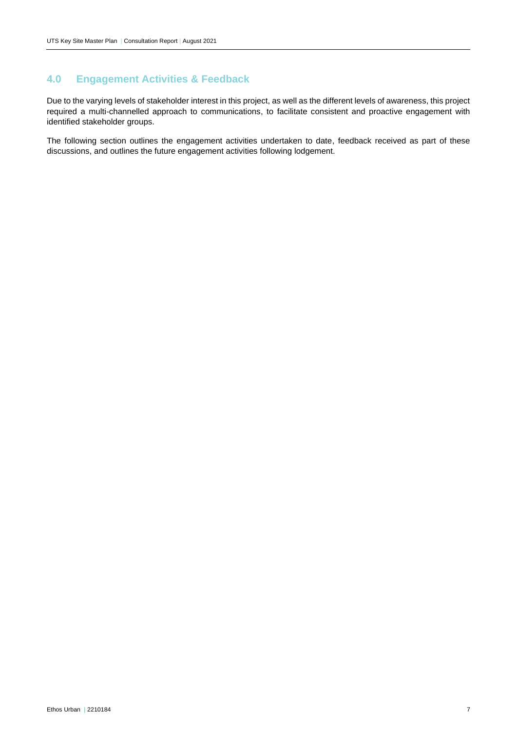## **4.0 Engagement Activities & Feedback**

Due to the varying levels of stakeholder interest in this project, as well as the different levels of awareness, this project required a multi-channelled approach to communications, to facilitate consistent and proactive engagement with identified stakeholder groups.

The following section outlines the engagement activities undertaken to date, feedback received as part of these discussions, and outlines the future engagement activities following lodgement.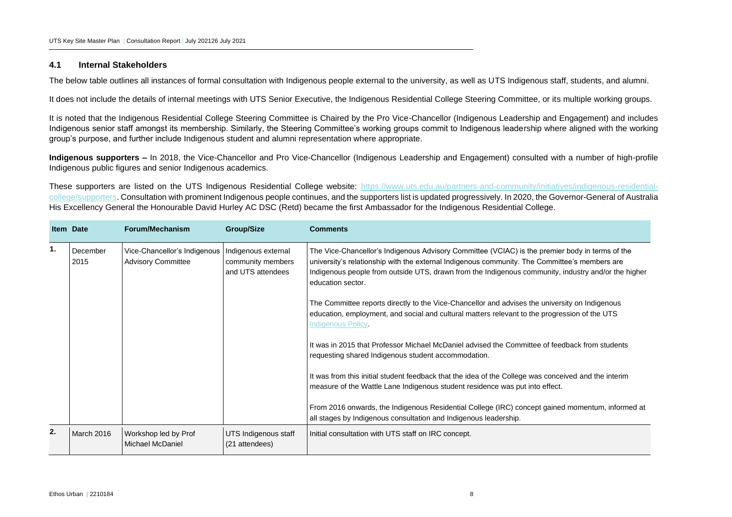#### **4.1 Internal Stakeholders**

The below table outlines all instances of formal consultation with Indigenous people external to the university, as well as UTS Indigenous staff, students, and alumni.

It does not include the details of internal meetings with UTS Senior Executive, the Indigenous Residential College Steering Committee, or its multiple working groups.

It is noted that the Indigenous Residential College Steering Committee is Chaired by the Pro Vice-Chancellor (Indigenous Leadership and Engagement) and includes Indigenous senior staff amongst its membership. Similarly, the Steering Committee's working groups commit to Indigenous leadership where aligned with the working group's purpose, and further include Indigenous student and alumni representation where appropriate.

**Indigenous supporters –** In 2018, the Vice-Chancellor and Pro Vice-Chancellor (Indigenous Leadership and Engagement) consulted with a number of high-profile Indigenous public figures and senior Indigenous academics.

These supporters are listed on the UTS Indigenous Residential College website: [https://www.uts.edu.au/partners-and-community/initiatives/indigenous-residential](https://www.uts.edu.au/partners-and-community/initiatives/indigenous-residential-college/supporters)[college/supporters.](https://www.uts.edu.au/partners-and-community/initiatives/indigenous-residential-college/supporters) Consultation with prominent Indigenous people continues, and the supporters list is updated progressively. In 2020, the Governor-General of Australia His Excellency General the Honourable David Hurley AC DSC (Retd) became the first Ambassador for the Indigenous Residential College.

<span id="page-9-0"></span>

|    | <b>Item Date</b>  | Forum/Mechanism                                           | <b>Group/Size</b>                                                                                                                                                    | <b>Comments</b>                                                                                                                                                                                                                                                                                                              |  |
|----|-------------------|-----------------------------------------------------------|----------------------------------------------------------------------------------------------------------------------------------------------------------------------|------------------------------------------------------------------------------------------------------------------------------------------------------------------------------------------------------------------------------------------------------------------------------------------------------------------------------|--|
| 1. | December<br>2015  | Vice-Chancellor's Indigenous<br><b>Advisory Committee</b> | Indigenous external<br>community members<br>and UTS attendees                                                                                                        | The Vice-Chancellor's Indigenous Advisory Committee (VCIAC) is the premier body in terms of the<br>university's relationship with the external Indigenous community. The Committee's members are<br>Indigenous people from outside UTS, drawn from the Indigenous community, industry and/or the higher<br>education sector. |  |
|    |                   |                                                           |                                                                                                                                                                      | The Committee reports directly to the Vice-Chancellor and advises the university on Indigenous<br>education, employment, and social and cultural matters relevant to the progression of the UTS<br>Indigenous Policy.                                                                                                        |  |
|    |                   |                                                           |                                                                                                                                                                      | It was in 2015 that Professor Michael McDaniel advised the Committee of feedback from students<br>requesting shared Indigenous student accommodation.                                                                                                                                                                        |  |
|    |                   |                                                           |                                                                                                                                                                      | It was from this initial student feedback that the idea of the College was conceived and the interim<br>measure of the Wattle Lane Indigenous student residence was put into effect.                                                                                                                                         |  |
|    |                   |                                                           | From 2016 onwards, the Indigenous Residential College (IRC) concept gained momentum, informed at<br>all stages by Indigenous consultation and Indigenous leadership. |                                                                                                                                                                                                                                                                                                                              |  |
| 2. | <b>March 2016</b> | Workshop led by Prof<br>Michael McDaniel                  | UTS Indigenous staff<br>(21 attendees)                                                                                                                               | Initial consultation with UTS staff on IRC concept.                                                                                                                                                                                                                                                                          |  |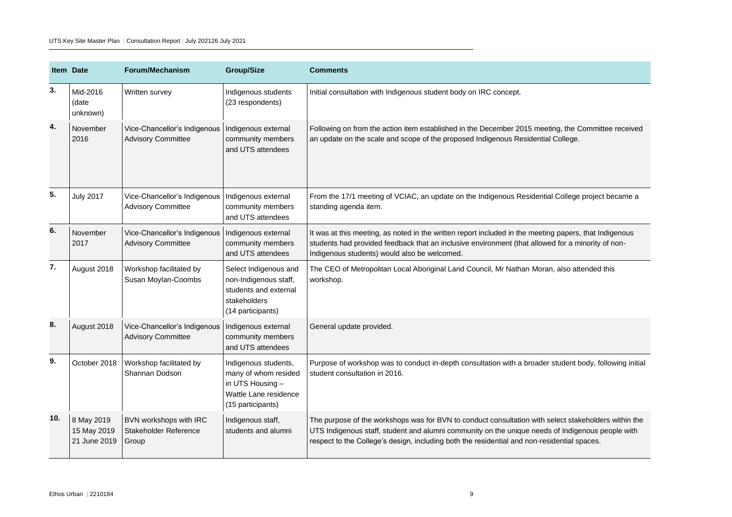|     | <b>Item Date</b>                          | Forum/Mechanism                                           | <b>Group/Size</b>                                                                                              | <b>Comments</b>                                                                                                                                                                                                                                                                                         |  |
|-----|-------------------------------------------|-----------------------------------------------------------|----------------------------------------------------------------------------------------------------------------|---------------------------------------------------------------------------------------------------------------------------------------------------------------------------------------------------------------------------------------------------------------------------------------------------------|--|
| 3.  | Mid-2016<br>(date<br>unknown)             | Written survey                                            | Indigenous students<br>(23 respondents)                                                                        | Initial consultation with Indigenous student body on IRC concept.                                                                                                                                                                                                                                       |  |
| 4.  | November<br>2016                          | Vice-Chancellor's Indigenous<br><b>Advisory Committee</b> | Indigenous external<br>community members<br>and UTS attendees                                                  | Following on from the action item established in the December 2015 meeting, the Committee received<br>an update on the scale and scope of the proposed Indigenous Residential College.                                                                                                                  |  |
| 5.  | <b>July 2017</b>                          | Vice-Chancellor's Indigenous<br><b>Advisory Committee</b> | Indigenous external<br>community members<br>and UTS attendees                                                  | From the 17/1 meeting of VCIAC, an update on the Indigenous Residential College project became a<br>standing agenda item.                                                                                                                                                                               |  |
| 6.  | November<br>2017                          | Vice-Chancellor's Indigenous<br><b>Advisory Committee</b> | Indigenous external<br>community members<br>and UTS attendees                                                  | It was at this meeting, as noted in the written report included in the meeting papers, that Indigenous<br>students had provided feedback that an inclusive environment (that allowed for a minority of non-<br>Indigenous students) would also be welcomed.                                             |  |
| 7.  | August 2018                               | Workshop facilitated by<br>Susan Moylan-Coombs            | Select Indigenous and<br>non-Indigenous staff,<br>students and external<br>stakeholders<br>(14 participants)   | The CEO of Metropolitan Local Aboriginal Land Council, Mr Nathan Moran, also attended this<br>workshop.                                                                                                                                                                                                 |  |
| 8.  | August 2018                               | Vice-Chancellor's Indigenous<br><b>Advisory Committee</b> | Indigenous external<br>community members<br>and UTS attendees                                                  | General update provided.                                                                                                                                                                                                                                                                                |  |
| 9.  | October 2018                              | Workshop facilitated by<br>Shannan Dodson                 | Indigenous students,<br>many of whom resided<br>in UTS Housing -<br>Wattle Lane residence<br>(15 participants) | Purpose of workshop was to conduct in-depth consultation with a broader student body, following initial<br>student consultation in 2016.                                                                                                                                                                |  |
| 10. | 8 May 2019<br>15 May 2019<br>21 June 2019 | BVN workshops with IRC<br>Stakeholder Reference<br>Group  | Indigenous staff,<br>students and alumni                                                                       | The purpose of the workshops was for BVN to conduct consultation with select stakeholders within the<br>UTS Indigenous staff, student and alumni community on the unique needs of Indigenous people with<br>respect to the College's design, including both the residential and non-residential spaces. |  |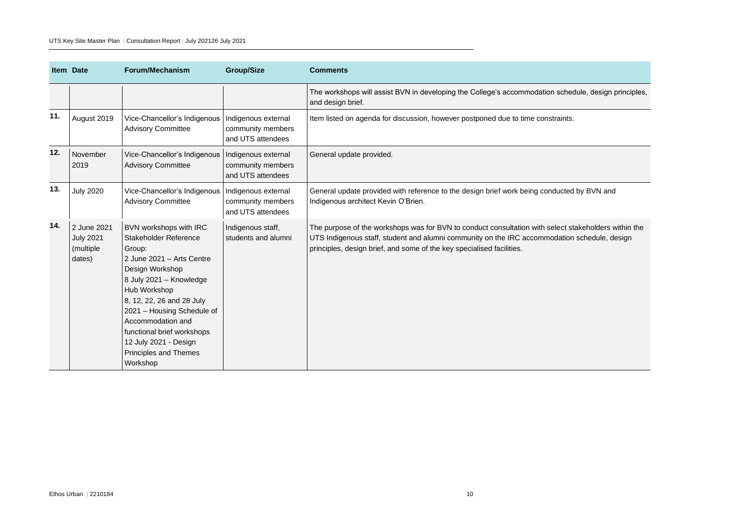|     | <b>Item Date</b>                                       | Forum/Mechanism                                                                                                                                                                                                                                                                                                                  | <b>Group/Size</b>                                             | <b>Comments</b>                                                                                                                                                                                                                                                               |
|-----|--------------------------------------------------------|----------------------------------------------------------------------------------------------------------------------------------------------------------------------------------------------------------------------------------------------------------------------------------------------------------------------------------|---------------------------------------------------------------|-------------------------------------------------------------------------------------------------------------------------------------------------------------------------------------------------------------------------------------------------------------------------------|
|     |                                                        |                                                                                                                                                                                                                                                                                                                                  |                                                               | The workshops will assist BVN in developing the College's accommodation schedule, design principles,<br>and design brief.                                                                                                                                                     |
| 11. | August 2019                                            | Vice-Chancellor's Indigenous   Indigenous external<br><b>Advisory Committee</b>                                                                                                                                                                                                                                                  | community members<br>and UTS attendees                        | Item listed on agenda for discussion, however postponed due to time constraints.                                                                                                                                                                                              |
| 12. | November<br>2019                                       | Vice-Chancellor's Indigenous<br><b>Advisory Committee</b>                                                                                                                                                                                                                                                                        | Indigenous external<br>community members<br>and UTS attendees | General update provided.                                                                                                                                                                                                                                                      |
| 13. | <b>July 2020</b>                                       | Vice-Chancellor's Indigenous<br><b>Advisory Committee</b>                                                                                                                                                                                                                                                                        | Indigenous external<br>community members<br>and UTS attendees | General update provided with reference to the design brief work being conducted by BVN and<br>Indigenous architect Kevin O'Brien.                                                                                                                                             |
| 14. | 2 June 2021<br><b>July 2021</b><br>(multiple<br>dates) | BVN workshops with IRC<br>Stakeholder Reference<br>Group:<br>2 June 2021 - Arts Centre<br>Design Workshop<br>8 July 2021 - Knowledge<br>Hub Workshop<br>8, 12, 22, 26 and 28 July<br>2021 - Housing Schedule of<br>Accommodation and<br>functional brief workshops<br>12 July 2021 - Design<br>Principles and Themes<br>Workshop | Indigenous staff,<br>students and alumni                      | The purpose of the workshops was for BVN to conduct consultation with select stakeholders within the<br>UTS Indigenous staff, student and alumni community on the IRC accommodation schedule, design<br>principles, design brief, and some of the key specialised facilities. |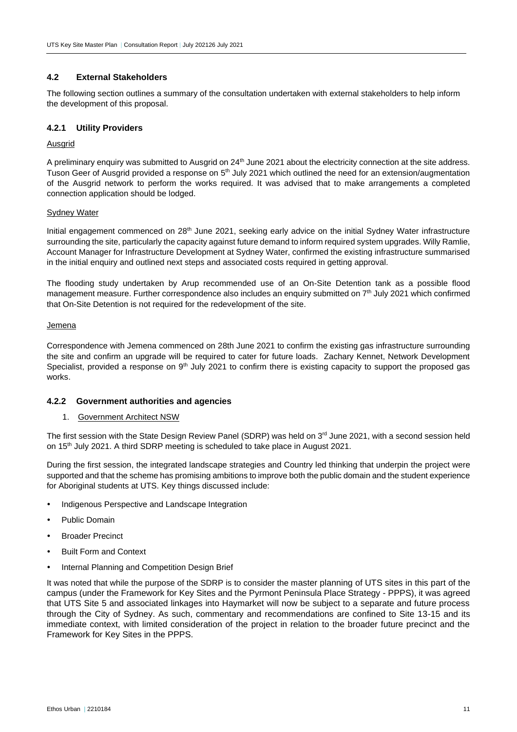#### <span id="page-12-0"></span>**4.2 External Stakeholders**

The following section outlines a summary of the consultation undertaken with external stakeholders to help inform the development of this proposal.

#### **4.2.1 Utility Providers**

#### Ausgrid

A preliminary enquiry was submitted to Ausgrid on 24<sup>th</sup> June 2021 about the electricity connection at the site address. Tuson Geer of Ausgrid provided a response on 5<sup>th</sup> July 2021 which outlined the need for an extension/augmentation of the Ausgrid network to perform the works required. It was advised that to make arrangements a completed connection application should be lodged.

#### Sydney Water

Initial engagement commenced on 28<sup>th</sup> June 2021, seeking early advice on the initial Sydney Water infrastructure surrounding the site, particularly the capacity against future demand to inform required system upgrades. Willy Ramlie, Account Manager for Infrastructure Development at Sydney Water, confirmed the existing infrastructure summarised in the initial enquiry and outlined next steps and associated costs required in getting approval.

The flooding study undertaken by Arup recommended use of an On-Site Detention tank as a possible flood management measure. Further correspondence also includes an enquiry submitted on 7<sup>th</sup> July 2021 which confirmed that On-Site Detention is not required for the redevelopment of the site.

#### Jemena

Correspondence with Jemena commenced on 28th June 2021 to confirm the existing gas infrastructure surrounding the site and confirm an upgrade will be required to cater for future loads. Zachary Kennet, Network Development Specialist, provided a response on 9<sup>th</sup> July 2021 to confirm there is existing capacity to support the proposed gas works.

#### **4.2.2 Government authorities and agencies**

#### 1. Government Architect NSW

The first session with the State Design Review Panel (SDRP) was held on  $3^{rd}$  June 2021, with a second session held on 15th July 2021. A third SDRP meeting is scheduled to take place in August 2021.

During the first session, the integrated landscape strategies and Country led thinking that underpin the project were supported and that the scheme has promising ambitions to improve both the public domain and the student experience for Aboriginal students at UTS. Key things discussed include:

- Indigenous Perspective and Landscape Integration
- Public Domain
- Broader Precinct
- Built Form and Context
- Internal Planning and Competition Design Brief

It was noted that while the purpose of the SDRP is to consider the master planning of UTS sites in this part of the campus (under the Framework for Key Sites and the Pyrmont Peninsula Place Strategy - PPPS), it was agreed that UTS Site 5 and associated linkages into Haymarket will now be subject to a separate and future process through the City of Sydney. As such, commentary and recommendations are confined to Site 13-15 and its immediate context, with limited consideration of the project in relation to the broader future precinct and the Framework for Key Sites in the PPPS.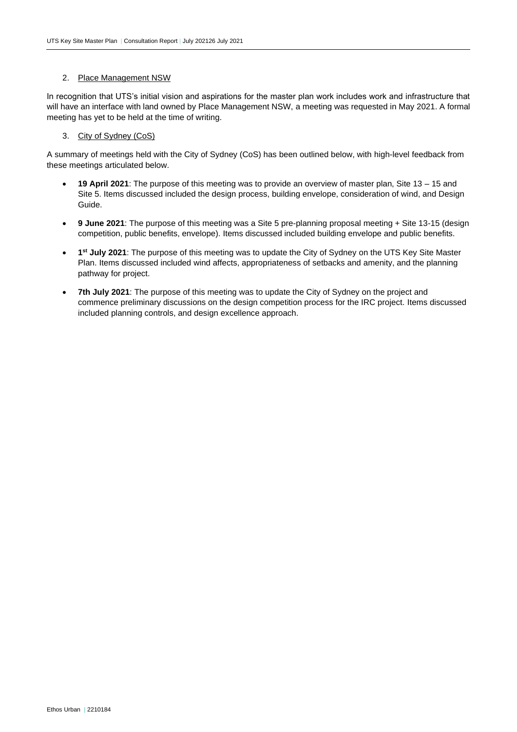#### 2. Place Management NSW

In recognition that UTS's initial vision and aspirations for the master plan work includes work and infrastructure that will have an interface with land owned by Place Management NSW, a meeting was requested in May 2021. A formal meeting has yet to be held at the time of writing.

#### 3. City of Sydney (CoS)

A summary of meetings held with the City of Sydney (CoS) has been outlined below, with high-level feedback from these meetings articulated below.

- **19 April 2021**: The purpose of this meeting was to provide an overview of master plan, Site 13 15 and Site 5. Items discussed included the design process, building envelope, consideration of wind, and Design Guide.
- **9 June 2021**: The purpose of this meeting was a Site 5 pre-planning proposal meeting + Site 13-15 (design competition, public benefits, envelope). Items discussed included building envelope and public benefits.
- **1 st July 2021**: The purpose of this meeting was to update the City of Sydney on the UTS Key Site Master Plan. Items discussed included wind affects, appropriateness of setbacks and amenity, and the planning pathway for project.
- **7th July 2021**: The purpose of this meeting was to update the City of Sydney on the project and commence preliminary discussions on the design competition process for the IRC project. Items discussed included planning controls, and design excellence approach.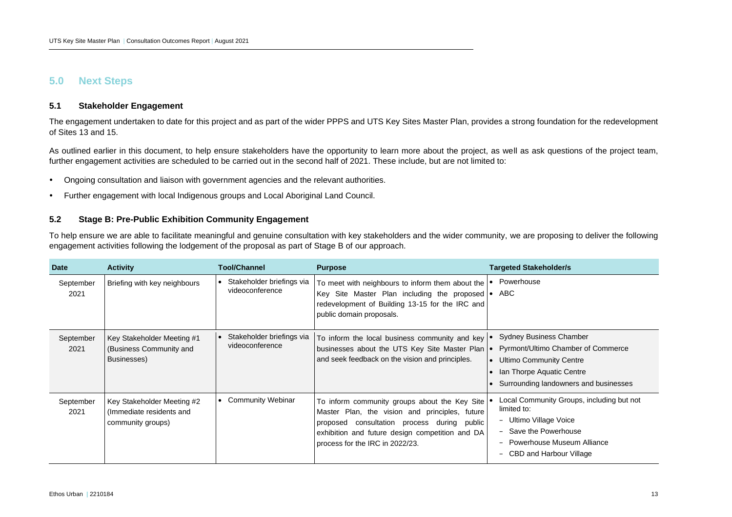### **5.0 Next Steps**

#### **5.1 Stakeholder Engagement**

The engagement undertaken to date for this project and as part of the wider PPPS and UTS Key Sites Master Plan, provides a strong foundation for the redevelopment of Sites 13 and 15.

As outlined earlier in this document, to help ensure stakeholders have the opportunity to learn more about the project, as well as ask questions of the project team, further engagement activities are scheduled to be carried out in the second half of 2021. These include, but are not limited to:

- Ongoing consultation and liaison with government agencies and the relevant authorities.
- Further engagement with local Indigenous groups and Local Aboriginal Land Council.

#### **5.2 Stage B: Pre-Public Exhibition Community Engagement**

To help ensure we are able to facilitate meaningful and genuine consultation with key stakeholders and the wider community, we are proposing to deliver the following engagement activities following the lodgement of the proposal as part of Stage B of our approach.

<span id="page-14-2"></span><span id="page-14-1"></span><span id="page-14-0"></span>

| <b>Date</b>       | <b>Activity</b>                                                             | Tool/Channel                                 | <b>Purpose</b>                                                                                                                                                                                                                          | <b>Targeted Stakeholder/s</b>                                                                                                                                                                           |
|-------------------|-----------------------------------------------------------------------------|----------------------------------------------|-----------------------------------------------------------------------------------------------------------------------------------------------------------------------------------------------------------------------------------------|---------------------------------------------------------------------------------------------------------------------------------------------------------------------------------------------------------|
| September<br>2021 | Briefing with key neighbours                                                | Stakeholder briefings via<br>videoconference | To meet with neighbours to inform them about the<br>Key Site Master Plan including the proposed $\bullet$ ABC<br>redevelopment of Building 13-15 for the IRC and<br>public domain proposals.                                            | Powerhouse<br>$\bullet$                                                                                                                                                                                 |
| September<br>2021 | Key Stakeholder Meeting #1<br>(Business Community and<br>Businesses)        | Stakeholder briefings via<br>videoconference | To inform the local business community and key<br>businesses about the UTS Key Site Master Plan<br>and seek feedback on the vision and principles.                                                                                      | <b>Sydney Business Chamber</b><br>Pyrmont/Ultimo Chamber of Commerce<br>$\bullet$<br>• Ultimo Community Centre<br>Ian Thorpe Aquatic Centre<br>Surrounding landowners and businesses                    |
| September<br>2021 | Key Stakeholder Meeting #2<br>(Immediate residents and<br>community groups) | • Community Webinar                          | To inform community groups about the Key Site<br>Master Plan, the vision and principles, future<br>proposed consultation process during<br>public<br>exhibition and future design competition and DA<br>process for the IRC in 2022/23. | Local Community Groups, including but not<br>limited to:<br>Ultimo Village Voice<br>$-$<br>- Save the Powerhouse<br>- Powerhouse Museum Alliance<br>CBD and Harbour Village<br>$\overline{\phantom{0}}$ |